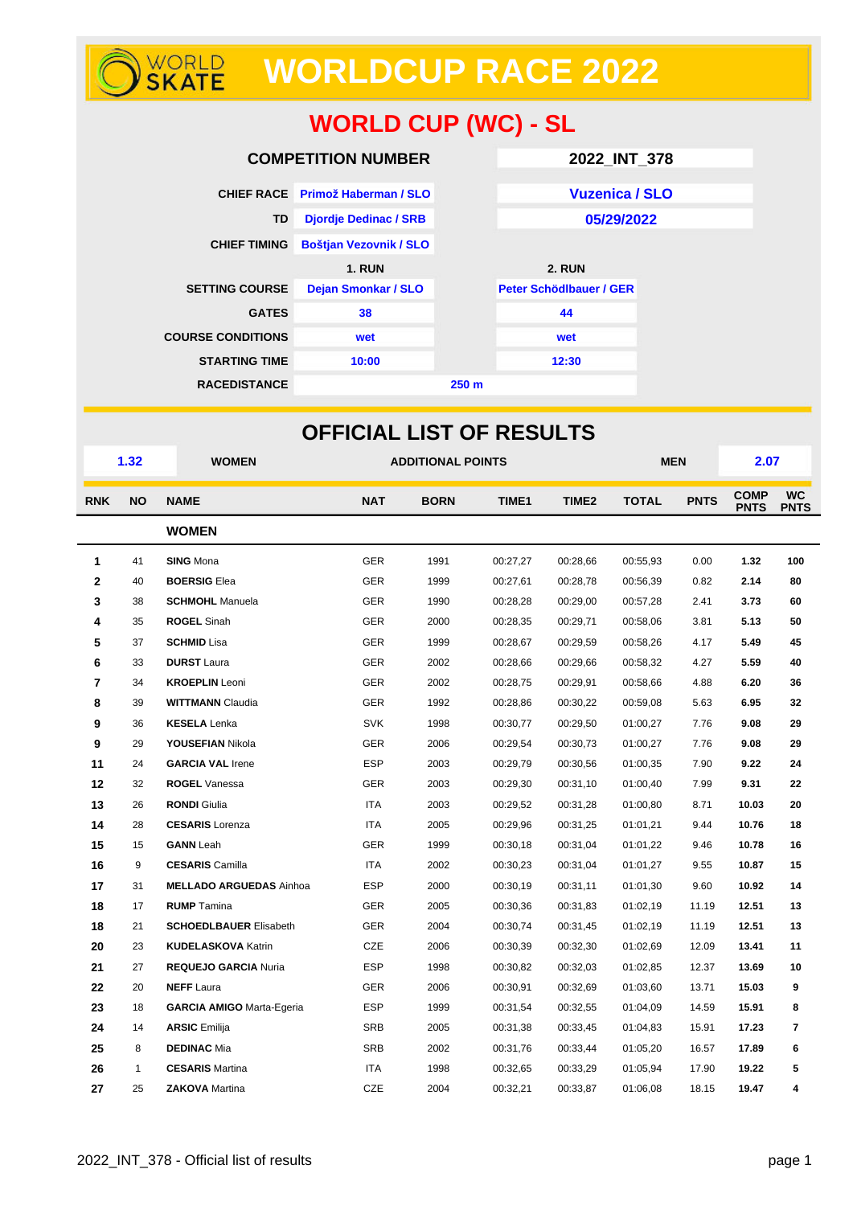# **WORLDCUP RACE 2022**

## **WORLD CUP (WC) - SL**

| <b>COMPETITION NUMBER</b>               |                                  |  | 2022_INT_378            |  |  |
|-----------------------------------------|----------------------------------|--|-------------------------|--|--|
|                                         | CHIEF RACE Primož Haberman / SLO |  | <b>Vuzenica / SLO</b>   |  |  |
| TD                                      | <b>Djordje Dedinac / SRB</b>     |  | 05/29/2022              |  |  |
| <b>CHIEF TIMING</b>                     | <b>Boštjan Vezovnik / SLO</b>    |  |                         |  |  |
|                                         | <b>1. RUN</b>                    |  | <b>2. RUN</b>           |  |  |
| <b>SETTING COURSE</b>                   | <b>Dejan Smonkar / SLO</b>       |  | Peter Schödlbauer / GER |  |  |
| <b>GATES</b>                            | 38                               |  | 44                      |  |  |
| <b>COURSE CONDITIONS</b>                | wet                              |  | wet                     |  |  |
| <b>STARTING TIME</b>                    | 10:00                            |  | 12:30                   |  |  |
| <b>RACEDISTANCE</b><br>250 <sub>m</sub> |                                  |  |                         |  |  |

| <b>OFFICIAL LIST OF RESULTS</b> |              |                                  |                                                         |      |              |             |                            |                          |       |     |
|---------------------------------|--------------|----------------------------------|---------------------------------------------------------|------|--------------|-------------|----------------------------|--------------------------|-------|-----|
|                                 | 1.32         | <b>WOMEN</b>                     | <b>ADDITIONAL POINTS</b>                                |      |              |             | <b>MEN</b>                 |                          | 2.07  |     |
| <b>RNK</b>                      | <b>NO</b>    | <b>NAME</b>                      | <b>NAT</b><br>TIME1<br>TIME <sub>2</sub><br><b>BORN</b> |      | <b>TOTAL</b> | <b>PNTS</b> | <b>COMP</b><br><b>PNTS</b> | <b>WC</b><br><b>PNTS</b> |       |     |
|                                 |              | <b>WOMEN</b>                     |                                                         |      |              |             |                            |                          |       |     |
| 1                               | 41           | <b>SING Mona</b>                 | <b>GER</b>                                              | 1991 | 00:27,27     | 00:28,66    | 00:55,93                   | 0.00                     | 1.32  | 100 |
| 2                               | 40           | <b>BOERSIG Elea</b>              | <b>GER</b>                                              | 1999 | 00:27,61     | 00:28,78    | 00:56,39                   | 0.82                     | 2.14  | 80  |
| 3                               | 38           | <b>SCHMOHL</b> Manuela           | <b>GER</b>                                              | 1990 | 00:28,28     | 00:29,00    | 00:57,28                   | 2.41                     | 3.73  | 60  |
| 4                               | 35           | <b>ROGEL Sinah</b>               | <b>GER</b>                                              | 2000 | 00:28,35     | 00:29,71    | 00:58,06                   | 3.81                     | 5.13  | 50  |
| 5                               | 37           | <b>SCHMID Lisa</b>               | <b>GER</b>                                              | 1999 | 00:28,67     | 00:29,59    | 00:58,26                   | 4.17                     | 5.49  | 45  |
| 6                               | 33           | <b>DURST</b> Laura               | <b>GER</b>                                              | 2002 | 00:28,66     | 00:29,66    | 00:58,32                   | 4.27                     | 5.59  | 40  |
| 7                               | 34           | <b>KROEPLIN</b> Leoni            | <b>GER</b>                                              | 2002 | 00:28,75     | 00:29,91    | 00:58,66                   | 4.88                     | 6.20  | 36  |
| 8                               | 39           | <b>WITTMANN Claudia</b>          | <b>GER</b>                                              | 1992 | 00:28,86     | 00:30,22    | 00:59,08                   | 5.63                     | 6.95  | 32  |
| 9                               | 36           | <b>KESELA</b> Lenka              | <b>SVK</b>                                              | 1998 | 00:30,77     | 00:29,50    | 01:00,27                   | 7.76                     | 9.08  | 29  |
| 9                               | 29           | <b>YOUSEFIAN Nikola</b>          | <b>GER</b>                                              | 2006 | 00:29,54     | 00:30,73    | 01:00,27                   | 7.76                     | 9.08  | 29  |
| 11                              | 24           | <b>GARCIA VAL Irene</b>          | <b>ESP</b>                                              | 2003 | 00:29,79     | 00:30,56    | 01:00,35                   | 7.90                     | 9.22  | 24  |
| 12                              | 32           | <b>ROGEL Vanessa</b>             | <b>GER</b>                                              | 2003 | 00:29,30     | 00:31,10    | 01:00,40                   | 7.99                     | 9.31  | 22  |
| 13                              | 26           | <b>RONDI</b> Giulia              | <b>ITA</b>                                              | 2003 | 00:29,52     | 00:31,28    | 01:00,80                   | 8.71                     | 10.03 | 20  |
| 14                              | 28           | <b>CESARIS</b> Lorenza           | <b>ITA</b>                                              | 2005 | 00:29,96     | 00:31,25    | 01:01,21                   | 9.44                     | 10.76 | 18  |
| 15                              | 15           | <b>GANN</b> Leah                 | <b>GER</b>                                              | 1999 | 00:30,18     | 00:31,04    | 01:01,22                   | 9.46                     | 10.78 | 16  |
| 16                              | 9            | <b>CESARIS</b> Camilla           | <b>ITA</b>                                              | 2002 | 00:30,23     | 00:31,04    | 01:01,27                   | 9.55                     | 10.87 | 15  |
| 17                              | 31           | <b>MELLADO ARGUEDAS Ainhoa</b>   | <b>ESP</b>                                              | 2000 | 00:30,19     | 00:31,11    | 01:01,30                   | 9.60                     | 10.92 | 14  |
| 18                              | 17           | <b>RUMP</b> Tamina               | <b>GER</b>                                              | 2005 | 00:30,36     | 00:31,83    | 01:02,19                   | 11.19                    | 12.51 | 13  |
| 18                              | 21           | <b>SCHOEDLBAUER Elisabeth</b>    | <b>GER</b>                                              | 2004 | 00:30,74     | 00:31,45    | 01:02,19                   | 11.19                    | 12.51 | 13  |
| 20                              | 23           | <b>KUDELASKOVA Katrin</b>        | CZE                                                     | 2006 | 00:30,39     | 00:32,30    | 01:02,69                   | 12.09                    | 13.41 | 11  |
| 21                              | 27           | <b>REQUEJO GARCIA Nuria</b>      | <b>ESP</b>                                              | 1998 | 00:30,82     | 00:32,03    | 01:02,85                   | 12.37                    | 13.69 | 10  |
| 22                              | 20           | <b>NEFF</b> Laura                | <b>GER</b>                                              | 2006 | 00:30,91     | 00:32,69    | 01:03.60                   | 13.71                    | 15.03 | 9   |
| 23                              | 18           | <b>GARCIA AMIGO Marta-Egeria</b> | <b>ESP</b>                                              | 1999 | 00:31,54     | 00:32,55    | 01:04.09                   | 14.59                    | 15.91 | 8   |
| 24                              | 14           | <b>ARSIC Emilija</b>             | <b>SRB</b>                                              | 2005 | 00:31,38     | 00:33,45    | 01:04.83                   | 15.91                    | 17.23 | 7   |
| 25                              | 8            | <b>DEDINAC Mia</b>               | <b>SRB</b>                                              | 2002 | 00:31,76     | 00:33,44    | 01:05,20                   | 16.57                    | 17.89 | 6   |
| 26                              | $\mathbf{1}$ | <b>CESARIS Martina</b>           | <b>ITA</b>                                              | 1998 | 00:32,65     | 00:33,29    | 01:05,94                   | 17.90                    | 19.22 | 5   |
| 27                              | 25           | <b>ZAKOVA</b> Martina            | <b>CZE</b>                                              | 2004 | 00:32,21     | 00:33,87    | 01:06,08                   | 18.15                    | 19.47 | 4   |

WORLD<br>**SKATE**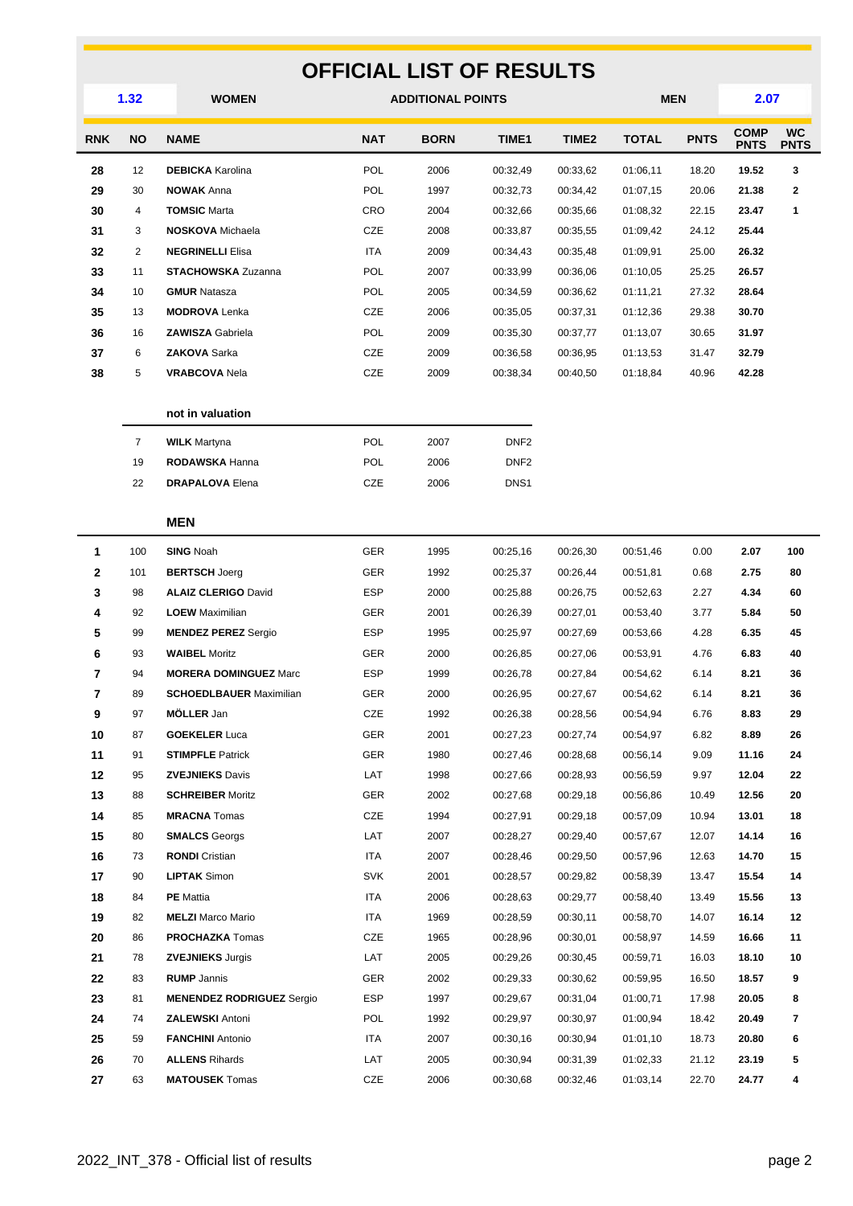| <b>OFFICIAL LIST OF RESULTS</b> |                |                                  |            |                          |                  |                   |              |             |                            |                          |
|---------------------------------|----------------|----------------------------------|------------|--------------------------|------------------|-------------------|--------------|-------------|----------------------------|--------------------------|
|                                 | 1.32           | <b>WOMEN</b>                     |            | <b>ADDITIONAL POINTS</b> | <b>MEN</b>       |                   | 2.07         |             |                            |                          |
| <b>RNK</b>                      | <b>NO</b>      | <b>NAME</b>                      | <b>NAT</b> | <b>BORN</b>              | <b>TIME1</b>     | TIME <sub>2</sub> | <b>TOTAL</b> | <b>PNTS</b> | <b>COMP</b><br><b>PNTS</b> | <b>WC</b><br><b>PNTS</b> |
| 28                              | 12             | <b>DEBICKA</b> Karolina          | <b>POL</b> | 2006                     | 00:32,49         | 00:33,62          | 01:06,11     | 18.20       | 19.52                      | 3                        |
| 29                              | 30             | <b>NOWAK Anna</b>                | <b>POL</b> | 1997                     | 00:32,73         | 00:34,42          | 01:07,15     | 20.06       | 21.38                      | $\mathbf{2}$             |
| 30                              | 4              | <b>TOMSIC Marta</b>              | CRO        | 2004                     | 00:32,66         | 00:35,66          | 01:08,32     | 22.15       | 23.47                      | 1                        |
| 31                              | 3              | <b>NOSKOVA</b> Michaela          | <b>CZE</b> | 2008                     | 00:33,87         | 00:35,55          | 01:09,42     | 24.12       | 25.44                      |                          |
| 32                              | $\overline{2}$ | <b>NEGRINELLI Elisa</b>          | <b>ITA</b> | 2009                     | 00:34,43         | 00:35,48          | 01:09,91     | 25.00       | 26.32                      |                          |
| 33                              | 11             | <b>STACHOWSKA Zuzanna</b>        | <b>POL</b> | 2007                     | 00:33,99         | 00:36,06          | 01:10,05     | 25.25       | 26.57                      |                          |
| 34                              | 10             | <b>GMUR Natasza</b>              | <b>POL</b> | 2005                     | 00:34,59         | 00:36,62          | 01:11,21     | 27.32       | 28.64                      |                          |
| 35                              | 13             | <b>MODROVA</b> Lenka             | CZE        | 2006                     | 00:35,05         | 00:37,31          | 01:12,36     | 29.38       | 30.70                      |                          |
| 36                              | 16             | <b>ZAWISZA Gabriela</b>          | <b>POL</b> | 2009                     | 00:35,30         | 00:37,77          | 01:13,07     | 30.65       | 31.97                      |                          |
| 37                              | 6              | <b>ZAKOVA Sarka</b>              | <b>CZE</b> | 2009                     | 00:36,58         | 00:36,95          | 01:13,53     | 31.47       | 32.79                      |                          |
| 38                              | 5              | <b>VRABCOVA Nela</b>             | CZE        | 2009                     | 00:38,34         | 00:40,50          | 01:18,84     | 40.96       | 42.28                      |                          |
|                                 |                | not in valuation                 |            |                          |                  |                   |              |             |                            |                          |
|                                 | $\overline{7}$ | <b>WILK Martyna</b>              | POL        | 2007                     | DNF <sub>2</sub> |                   |              |             |                            |                          |
|                                 | 19             | RODAWSKA Hanna                   | <b>POL</b> | 2006                     | DNF <sub>2</sub> |                   |              |             |                            |                          |
|                                 | 22             | <b>DRAPALOVA Elena</b>           | <b>CZE</b> | 2006                     | DNS <sub>1</sub> |                   |              |             |                            |                          |
|                                 |                | <b>MEN</b>                       |            |                          |                  |                   |              |             |                            |                          |
| $\mathbf{1}$                    | 100            | <b>SING Noah</b>                 | <b>GER</b> | 1995                     | 00:25,16         | 00:26,30          | 00:51,46     | 0.00        | 2.07                       | 100                      |
| 2                               | 101            | <b>BERTSCH Joerg</b>             | <b>GER</b> | 1992                     | 00:25,37         | 00:26,44          | 00:51,81     | 0.68        | 2.75                       | 80                       |
| 3                               | 98             | <b>ALAIZ CLERIGO David</b>       | <b>ESP</b> | 2000                     | 00:25,88         | 00:26,75          | 00:52,63     | 2.27        | 4.34                       | 60                       |
| 4                               | 92             | <b>LOEW</b> Maximilian           | <b>GER</b> | 2001                     | 00:26,39         | 00:27,01          | 00:53,40     | 3.77        | 5.84                       | 50                       |
| 5                               | 99             | <b>MENDEZ PEREZ Sergio</b>       | <b>ESP</b> | 1995                     | 00:25,97         | 00:27,69          | 00:53,66     | 4.28        | 6.35                       | 45                       |
| 6                               | 93             | <b>WAIBEL Moritz</b>             | <b>GER</b> | 2000                     | 00:26,85         | 00:27,06          | 00:53,91     | 4.76        | 6.83                       | 40                       |
| 7                               | 94             | <b>MORERA DOMINGUEZ Marc</b>     | <b>ESP</b> | 1999                     | 00:26,78         | 00:27,84          | 00:54,62     | 6.14        | 8.21                       | 36                       |
| 7                               | 89             | <b>SCHOEDLBAUER Maximilian</b>   | GER        | 2000                     | 00:26,95         | 00:27,67          | 00:54,62     | 6.14        | 8.21                       | 36                       |
| 9                               | 97             | MÖLLER Jan                       | CZE        | 1992                     | 00:26,38         | 00:28,56          | 00:54,94     | 6.76        | 8.83                       | 29                       |
| 10                              | 87             | <b>GOEKELER Luca</b>             | GER        | 2001                     | 00:27,23         | 00:27,74          | 00:54,97     | 6.82        | 8.89                       | 26                       |
| 11                              | 91             | <b>STIMPFLE Patrick</b>          | <b>GER</b> | 1980                     | 00:27,46         | 00:28,68          | 00:56,14     | 9.09        | 11.16                      | 24                       |
| 12                              | 95             | <b>ZVEJNIEKS Davis</b>           | LAT        | 1998                     | 00:27,66         | 00:28,93          | 00:56,59     | 9.97        | 12.04                      | 22                       |
| 13                              | 88             | <b>SCHREIBER Moritz</b>          | GER        | 2002                     | 00:27,68         | 00:29,18          | 00:56,86     | 10.49       | 12.56                      | 20                       |
| 14                              | 85             | <b>MRACNA</b> Tomas              | CZE        | 1994                     | 00:27,91         | 00:29,18          | 00:57,09     | 10.94       | 13.01                      | 18                       |
| 15                              | 80             | <b>SMALCS</b> Georgs             | LAT        | 2007                     | 00:28,27         | 00:29,40          | 00:57,67     | 12.07       | 14.14                      | 16                       |
| 16                              | 73             | <b>RONDI</b> Cristian            | ITA        | 2007                     | 00:28,46         | 00:29,50          | 00:57,96     | 12.63       | 14.70                      | 15                       |
| 17                              | 90             | <b>LIPTAK Simon</b>              | <b>SVK</b> | 2001                     | 00:28,57         | 00:29,82          | 00:58,39     | 13.47       | 15.54                      | 14                       |
| 18                              | 84             | <b>PE</b> Mattia                 | <b>ITA</b> | 2006                     | 00:28,63         | 00:29,77          | 00:58,40     | 13.49       | 15.56                      | 13                       |
| 19                              | 82             | <b>MELZI</b> Marco Mario         | ITA        | 1969                     | 00:28,59         | 00:30,11          | 00:58,70     | 14.07       | 16.14                      | 12                       |
| 20                              | 86             | <b>PROCHAZKA</b> Tomas           | CZE        | 1965                     | 00:28,96         | 00:30,01          | 00:58,97     | 14.59       | 16.66                      | 11                       |
| 21                              | 78             | <b>ZVEJNIEKS Jurgis</b>          | LAT        | 2005                     | 00:29,26         | 00:30,45          | 00:59,71     | 16.03       | 18.10                      | 10                       |
| 22                              | 83             | <b>RUMP</b> Jannis               | <b>GER</b> | 2002                     | 00:29,33         | 00:30,62          | 00:59,95     | 16.50       | 18.57                      | 9                        |
| 23                              | 81             | <b>MENENDEZ RODRIGUEZ Sergio</b> | <b>ESP</b> | 1997                     | 00:29,67         | 00:31,04          | 01:00,71     | 17.98       | 20.05                      | 8                        |
| 24                              | 74             | <b>ZALEWSKI Antoni</b>           | <b>POL</b> | 1992                     | 00:29,97         | 00:30,97          | 01:00,94     | 18.42       | 20.49                      | 7                        |
| 25                              | 59             | <b>FANCHINI</b> Antonio          | ITA        | 2007                     | 00:30,16         | 00:30,94          | 01:01,10     | 18.73       | 20.80                      | 6                        |
| 26                              | 70             | <b>ALLENS Rihards</b>            | LAT        | 2005                     | 00:30,94         | 00:31,39          | 01:02,33     | 21.12       | 23.19                      | 5                        |
| 27                              | 63             | <b>MATOUSEK</b> Tomas            | CZE        | 2006                     | 00:30,68         | 00:32,46          | 01:03,14     | 22.70       | 24.77                      | 4                        |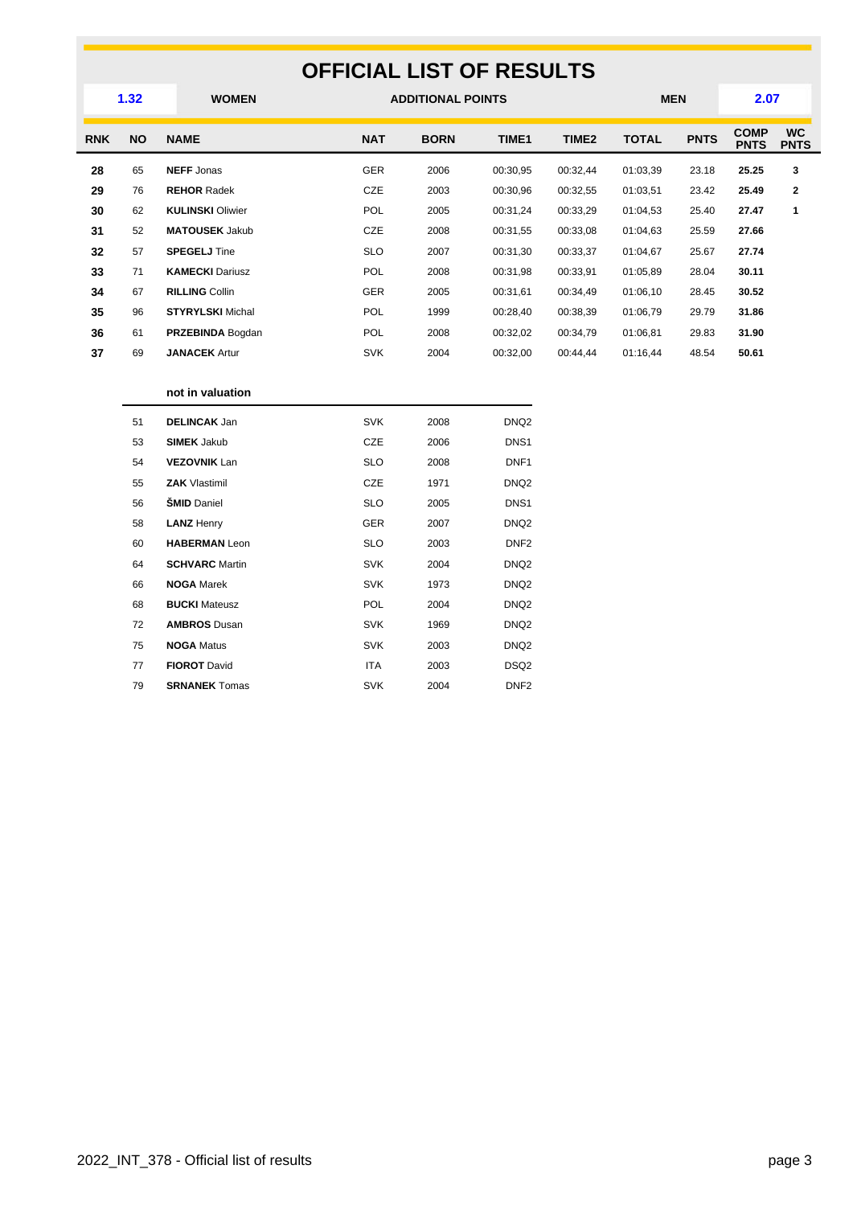### **OFFICIAL LIST OF RESULTS WOMEN ADDITIONAL POINTS MEN 1.32 2.07 RNK NO NAME NAT BORN TIME1 TIME2 TOTAL PNTS COMP COMP**<br>PNTS **WC PNTS** 65 **NEFF** Jonas GER 2006 00:30,95 00:32,44 01:03,39 23.18 **25.25 3** 76 **REHOR** Radek CZE 2003 00:30,96 00:32,55 01:03,51 23.42 **25.49 2** 62 **KULINSKI** Oliwier POL 2005 00:31,24 00:33,29 01:04,53 25.40 **27.47 1** 52 **MATOUSEK** Jakub CZE 2008 00:31,55 00:33,08 01:04,63 25.59 **27.66** 57 **SPEGELJ** Tine SLO 2007 00:31,30 00:33,37 01:04,67 25.67 **27.74** 71 **KAMECKI** Dariusz POL 2008 00:31,98 00:33,91 01:05,89 28.04 **30.11** 67 **RILLING** Collin GER 2005 00:31,61 00:34,49 01:06,10 28.45 **30.52** 96 **STYRYLSKI** Michal POL 1999 00:28,40 00:38,39 01:06,79 29.79 **31.86** 61 **PRZEBINDA** Bogdan POL 2008 00:32,02 00:34,79 01:06,81 29.83 **31.90** 69 **JANACEK** Artur SVK 2004 00:32,00 00:44,44 01:16,44 48.54 **50.61**

#### **not in valuation**

| 51 | <b>DELINCAK Jan</b>   | <b>SVK</b> | 2008 | DNQ <sub>2</sub> |
|----|-----------------------|------------|------|------------------|
| 53 | <b>SIMEK Jakub</b>    | <b>CZE</b> | 2006 | DNS <sub>1</sub> |
| 54 | <b>VEZOVNIK Lan</b>   | <b>SLO</b> | 2008 | DNF <sub>1</sub> |
| 55 | <b>ZAK Vlastimil</b>  | <b>CZE</b> | 1971 | DNQ <sub>2</sub> |
| 56 | <b>SMID Daniel</b>    | <b>SLO</b> | 2005 | DNS <sub>1</sub> |
| 58 | <b>LANZ Henry</b>     | <b>GER</b> | 2007 | DNQ <sub>2</sub> |
| 60 | <b>HABERMAN Leon</b>  | <b>SLO</b> | 2003 | DNF <sub>2</sub> |
| 64 | <b>SCHVARC</b> Martin | <b>SVK</b> | 2004 | DNQ <sub>2</sub> |
| 66 | <b>NOGA Marek</b>     | <b>SVK</b> | 1973 | DNQ <sub>2</sub> |
| 68 | <b>BUCKI</b> Mateusz  | <b>POL</b> | 2004 | DNQ <sub>2</sub> |
| 72 | <b>AMBROS Dusan</b>   | <b>SVK</b> | 1969 | DNQ <sub>2</sub> |
| 75 | <b>NOGA Matus</b>     | <b>SVK</b> | 2003 | DNQ <sub>2</sub> |
| 77 | <b>FIOROT David</b>   | <b>ITA</b> | 2003 | DSQ <sub>2</sub> |
| 79 | <b>SRNANEK Tomas</b>  | <b>SVK</b> | 2004 | DNF <sub>2</sub> |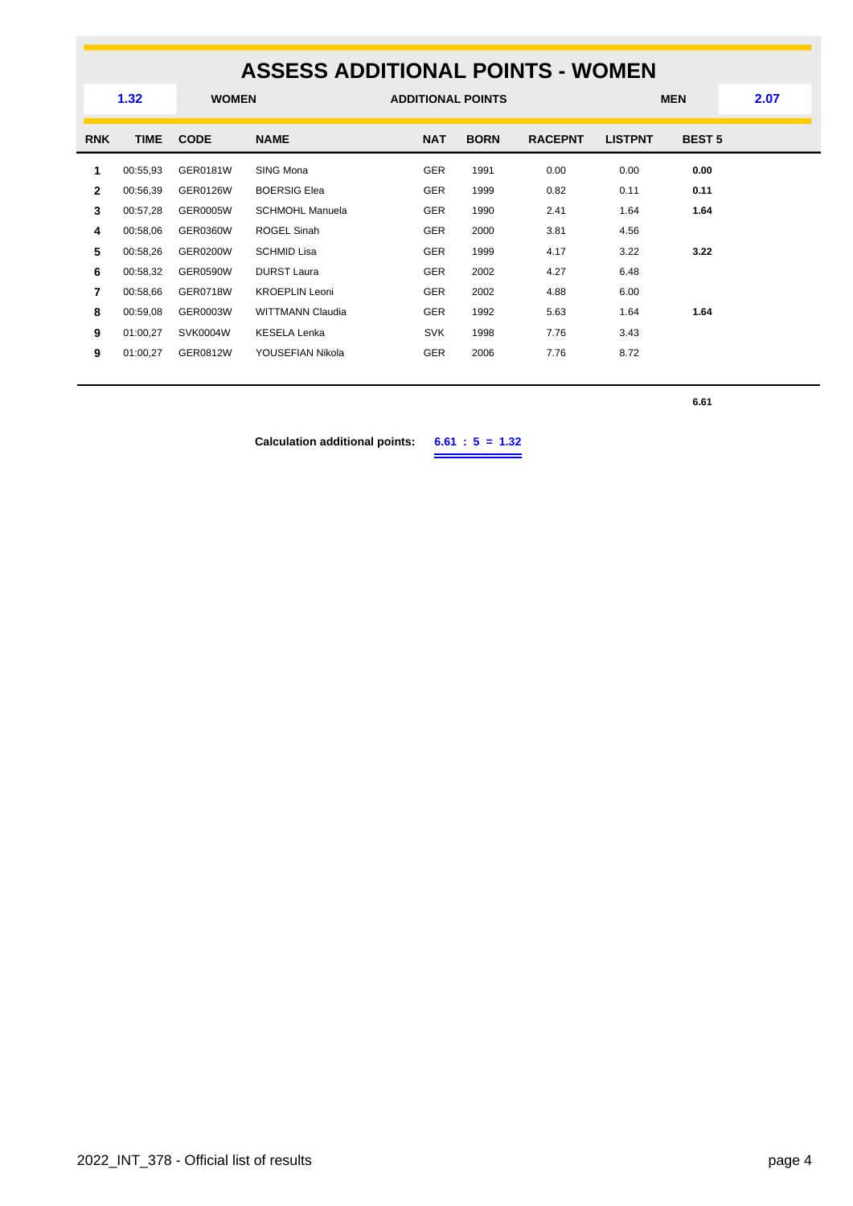### **ASSESS ADDITIONAL POINTS - WOMEN WOMEN ADDITIONAL POINTS MEN 1.32 2.07 RNK TIME CODE NAME NAT BORN RACEPNT LISTPNT BEST 5** 00:55,93 GER0181W SING Mona GER 1991 0.00 0.00 **0.00** 00:56,39 GER0126W BOERSIG Elea GER 1999 0.82 0.11 **0.11** 00:57,28 GER0005W SCHMOHL Manuela GER 1990 2.41 1.64 **1.64** 00:58,06 GER0360W ROGEL Sinah GER 2000 3.81 4.56 00:58,26 GER0200W SCHMID Lisa GER 1999 4.17 3.22 **3.22** 00:58,32 GER0590W DURST Laura GER 2002 4.27 6.48 00:58,66 GER0718W KROEPLIN Leoni GER 2002 4.88 6.00 00:59,08 GER0003W WITTMANN Claudia GER 1992 5.63 1.64 **1.64** 01:00,27 SVK0004W KESELA Lenka **SVK 1998 7.76** 3.43 01:00,27 GER0812W YOUSEFIAN Nikola GER 2006 7.76 8.72

**6.61**

**Calculation additional points: 6.61 : 5 = 1.32**